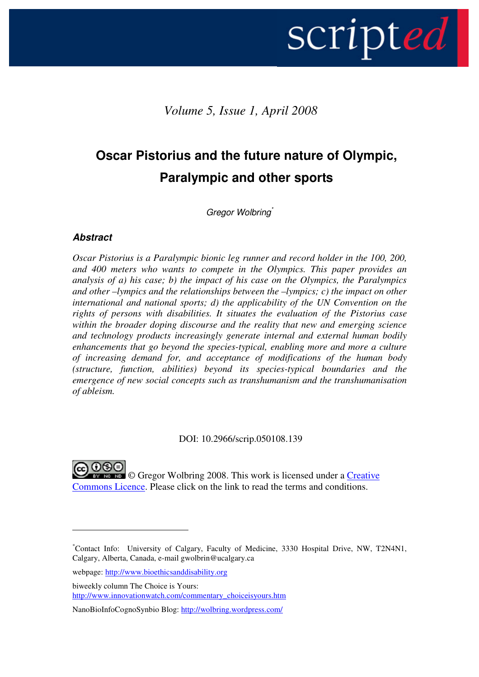# scripted |

Volume 5, Issue 1, April 2008

# Oscar Pistorius and the future nature of Olympic, Paralympic and other sports

Gregor Wolbring\*

#### **Abstract**

 $\overline{a}$ 

Oscar Pistorius is a Paralympic bionic leg runner and record holder in the 100, 200, and 400 meters who wants to compete in the Olympics. This paper provides an analysis of a) his case; b) the impact of his case on the Olympics, the Paralympics and other –lympics and the relationships between the –lympics; c) the impact on other international and national sports; d) the applicability of the UN Convention on the rights of persons with disabilities. It situates the evaluation of the Pistorius case within the broader doping discourse and the reality that new and emerging science and technology products increasingly generate internal and external human bodily enhancements that go beyond the species-typical, enabling more and more a culture of increasing demand for, and acceptance of modifications of the human body (structure, function, abilities) beyond its species-typical boundaries and the emergence of new social concepts such as transhumanism and the transhumanisation of ableism.

DOI: 10.2966/scrip.050108.139

**NG NO** Gregor Wolbring 2008. This work is licensed under a Creative Commons Licence. Please click on the link to read the terms and conditions.

webpage: http://www.bioethicsanddisability.org

biweekly column The Choice is Yours: http://www.innovationwatch.com/commentary\_choiceisyours.htm

NanoBioInfoCognoSynbio Blog: http://wolbring.wordpress.com/

<sup>\*</sup>Contact Info: University of Calgary, Faculty of Medicine, 3330 Hospital Drive, NW, T2N4N1, Calgary, Alberta, Canada, e-mail gwolbrin@ucalgary.ca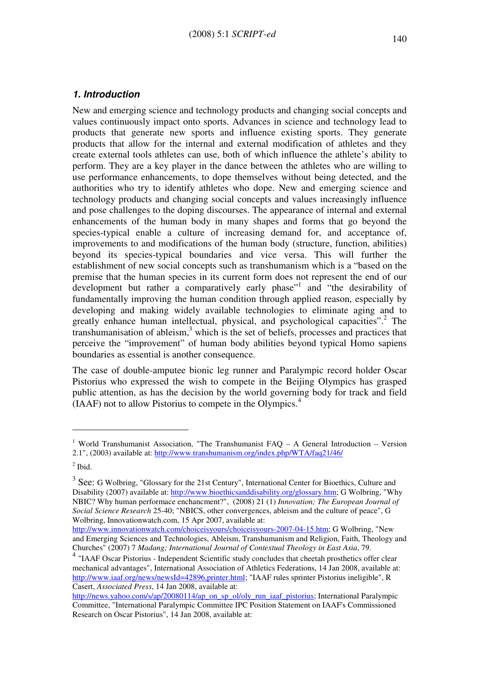#### 1. Introduction

New and emerging science and technology products and changing social concepts and values continuously impact onto sports. Advances in science and technology lead to products that generate new sports and influence existing sports. They generate products that allow for the internal and external modification of athletes and they create external tools athletes can use, both of which influence the athlete's ability to perform. They are a key player in the dance between the athletes who are willing to use performance enhancements, to dope themselves without being detected, and the authorities who try to identify athletes who dope. New and emerging science and technology products and changing social concepts and values increasingly influence and pose challenges to the doping discourses. The appearance of internal and external enhancements of the human body in many shapes and forms that go beyond the species-typical enable a culture of increasing demand for, and acceptance of, improvements to and modifications of the human body (structure, function, abilities) beyond its species-typical boundaries and vice versa. This will further the establishment of new social concepts such as transhumanism which is a "based on the premise that the human species in its current form does not represent the end of our development but rather a comparatively early phase"<sup>1</sup> and "the desirability of fundamentally improving the human condition through applied reason, especially by developing and making widely available technologies to eliminate aging and to greatly enhance human intellectual, physical, and psychological capacities".<sup>2</sup> The  $transhumanisation$  of ableism, $<sup>3</sup>$  which is the set of beliefs, processes and practices that</sup> perceive the "improvement" of human body abilities beyond typical Homo sapiens boundaries as essential is another consequence.

The case of double-amputee bionic leg runner and Paralympic record holder Oscar Pistorius who expressed the wish to compete in the Beijing Olympics has grasped public attention, as has the decision by the world governing body for track and field  $(IAAF)$  not to allow Pistorius to compete in the Olympics.<sup>4</sup>

<sup>&</sup>lt;sup>1</sup> World Transhumanist Association, "The Transhumanist FAQ  $-$  A General Introduction  $-$  Version 2.1", (2003) available at: http://www.transhumanism.org/index.php/WTA/faq21/46/

 $<sup>2</sup>$  Ibid.</sup>

 $3$  See: G Wolbring, "Glossary for the 21st Century", International Center for Bioethics, Culture and Disability (2007) available at: http://www.bioethicsanddisability.org/glossary.htm; G Wolbring, "Why NBIC? Why human performace enchancment?", (2008) 21 (1) Innovation; The European Journal of Social Science Research 25-40; "NBICS, other convergences, ableism and the culture of peace", G Wolbring, Innovationwatch.com, 15 Apr 2007, available at:

http://www.innovationwatch.com/choiceisyours/choiceisyours-2007-04-15.htm; G Wolbring, "New and Emerging Sciences and Technologies, Ableism, Transhumanism and Religion, Faith, Theology and Churches" (2007) 7 Madang; International Journal of Contextual Theology in East Asia, 79.

<sup>4</sup> "IAAF Oscar Pistorius - Independent Scientific study concludes that cheetah prosthetics offer clear mechanical advantages", International Association of Athletics Federations, 14 Jan 2008, available at: http://www.iaaf.org/news/newsId=42896,printer.html; "IAAF rules sprinter Pistorius ineligible", R Casert, Associated Press, 14 Jan 2008, available at:

http://news.yahoo.com/s/ap/20080114/ap\_on\_sp\_ol/oly\_run\_iaaf\_pistorius; International Paralympic Committee, "International Paralympic Committee IPC Position Statement on IAAF's Commissioned Research on Oscar Pistorius", 14 Jan 2008, available at: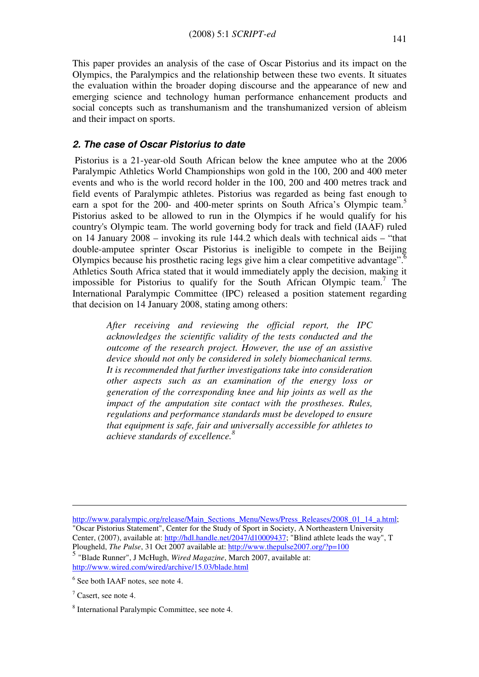This paper provides an analysis of the case of Oscar Pistorius and its impact on the Olympics, the Paralympics and the relationship between these two events. It situates the evaluation within the broader doping discourse and the appearance of new and emerging science and technology human performance enhancement products and social concepts such as transhumanism and the transhumanized version of ableism and their impact on sports.

#### 2. The case of Oscar Pistorius to date

 Pistorius is a 21-year-old South African below the knee amputee who at the 2006 Paralympic Athletics World Championships won gold in the 100, 200 and 400 meter events and who is the world record holder in the 100, 200 and 400 metres track and field events of Paralympic athletes. Pistorius was regarded as being fast enough to earn a spot for the 200- and 400-meter sprints on South Africa's Olympic team.<sup>5</sup> Pistorius asked to be allowed to run in the Olympics if he would qualify for his country's Olympic team. The world governing body for track and field (IAAF) ruled on 14 January 2008 – invoking its rule 144.2 which deals with technical aids – "that double-amputee sprinter Oscar Pistorius is ineligible to compete in the Beijing Olympics because his prosthetic racing legs give him a clear competitive advantage". $\delta$ Athletics South Africa stated that it would immediately apply the decision, making it impossible for Pistorius to qualify for the South African Olympic team.<sup>7</sup> The International Paralympic Committee (IPC) released a position statement regarding that decision on 14 January 2008, stating among others:

After receiving and reviewing the official report, the IPC acknowledges the scientific validity of the tests conducted and the outcome of the research project. However, the use of an assistive device should not only be considered in solely biomechanical terms. It is recommended that further investigations take into consideration other aspects such as an examination of the energy loss or generation of the corresponding knee and hip joints as well as the impact of the amputation site contact with the prostheses. Rules, regulations and performance standards must be developed to ensure that equipment is safe, fair and universally accessible for athletes to achieve standards of excellence. $8$ 

http://www.paralympic.org/release/Main\_Sections\_Menu/News/Press\_Releases/2008\_01\_14\_a.html; "Oscar Pistorius Statement", Center for the Study of Sport in Society, A Northeastern University Center, (2007), available at: http://hdl.handle.net/2047/d10009437; "Blind athlete leads the way", T Plougheld, The Pulse, 31 Oct 2007 available at: http://www.thepulse2007.org/?p=100 5 "Blade Runner", J McHugh, Wired Magazine, March 2007, available at:

http://www.wired.com/wired/archive/15.03/blade.html

<sup>&</sup>lt;sup>6</sup> See both IAAF notes, see note 4.

 $7$  Casert, see note 4.

<sup>8</sup> International Paralympic Committee, see note 4.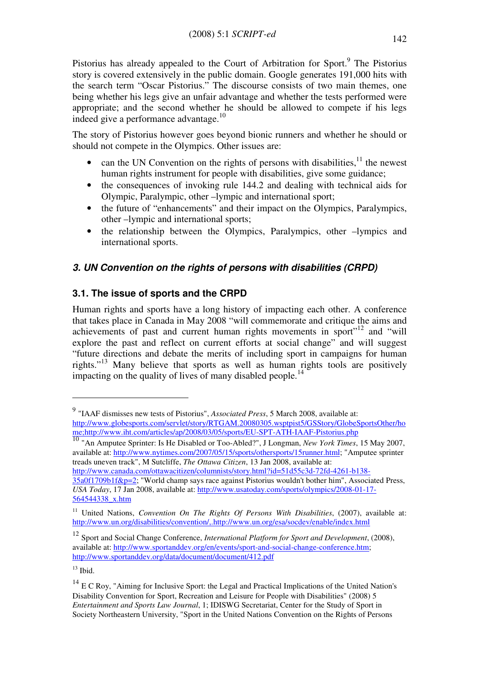Pistorius has already appealed to the Court of Arbitration for Sport.<sup>9</sup> The Pistorius story is covered extensively in the public domain. Google generates 191,000 hits with the search term "Oscar Pistorius." The discourse consists of two main themes, one being whether his legs give an unfair advantage and whether the tests performed were appropriate; and the second whether he should be allowed to compete if his legs indeed give a performance advantage.<sup>10</sup>

The story of Pistorius however goes beyond bionic runners and whether he should or should not compete in the Olympics. Other issues are:

- can the UN Convention on the rights of persons with disabilities, $11$  the newest human rights instrument for people with disabilities, give some guidance;
- the consequences of invoking rule 144.2 and dealing with technical aids for Olympic, Paralympic, other –lympic and international sport;
- the future of "enhancements" and their impact on the Olympics, Paralympics, other –lympic and international sports;
- the relationship between the Olympics, Paralympics, other –lympics and international sports.

# 3. UN Convention on the rights of persons with disabilities (CRPD)

# 3.1. The issue of sports and the CRPD

Human rights and sports have a long history of impacting each other. A conference that takes place in Canada in May 2008 "will commemorate and critique the aims and achievements of past and current human rights movements in sport"<sup>12</sup> and "will explore the past and reflect on current efforts at social change" and will suggest "future directions and debate the merits of including sport in campaigns for human rights."<sup>13</sup> Many believe that sports as well as human rights tools are positively impacting on the quality of lives of many disabled people.<sup>14</sup>

<sup>10</sup> "An Amputee Sprinter: Is He Disabled or Too-Abled?", J Longman, *New York Times*, 15 May 2007, available at: http://www.nytimes.com/2007/05/15/sports/othersports/15runner.html; "Amputee sprinter treads uneven track", M Sutcliffe, The Ottawa Citizen, 13 Jan 2008, available at:

http://www.canada.com/ottawacitizen/columnists/story.html?id=51d55c3d-72fd-4261-b138- 35a0f1709b1f&p=2; "World champ says race against Pistorius wouldn't bother him", Associated Press, USA Today, 17 Jan 2008, available at: http://www.usatoday.com/sports/olympics/2008-01-17- 564544338\_x.htm

 $9$  "IAAF dismisses new tests of Pistorius", *Associated Press*, 5 March 2008, available at: http://www.globesports.com/servlet/story/RTGAM.20080305.wsptpist5/GSStory/GlobeSportsOther/ho me;http://www.iht.com/articles/ap/2008/03/05/sports/EU-SPT-ATH-IAAF-Pistorius.php

<sup>&</sup>lt;sup>11</sup> United Nations, *Convention On The Rights Of Persons With Disabilities*,  $(2007)$ , available at: http://www.un.org/disabilities/convention/,.http://www.un.org/esa/socdev/enable/index.html

 $12$  Sport and Social Change Conference, International Platform for Sport and Development, (2008), available at: http://www.sportanddev.org/en/events/sport-and-social-change-conference.htm; http://www.sportanddev.org/data/document/document/412.pdf

 $13$  Ibid.

<sup>&</sup>lt;sup>14</sup> E C Roy, "Aiming for Inclusive Sport: the Legal and Practical Implications of the United Nation's Disability Convention for Sport, Recreation and Leisure for People with Disabilities" (2008) 5 Entertainment and Sports Law Journal, 1; IDISWG Secretariat, Center for the Study of Sport in Society Northeastern University, "Sport in the United Nations Convention on the Rights of Persons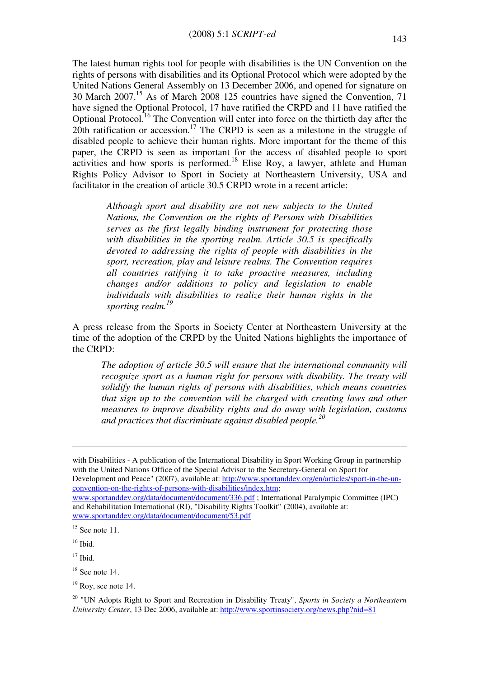The latest human rights tool for people with disabilities is the UN Convention on the rights of persons with disabilities and its Optional Protocol which were adopted by the United Nations General Assembly on 13 December 2006, and opened for signature on 30 March 2007.<sup>15</sup> As of March 2008 125 countries have signed the Convention, 71 have signed the Optional Protocol, 17 have ratified the CRPD and 11 have ratified the Optional Protocol.<sup>16</sup> The Convention will enter into force on the thirtieth day after the 20th ratification or accession.<sup>17</sup> The CRPD is seen as a milestone in the struggle of disabled people to achieve their human rights. More important for the theme of this paper, the CRPD is seen as important for the access of disabled people to sport activities and how sports is performed.<sup>18</sup> Elise Roy, a lawyer, athlete and Human Rights Policy Advisor to Sport in Society at Northeastern University, USA and facilitator in the creation of article 30.5 CRPD wrote in a recent article:

Although sport and disability are not new subjects to the United Nations, the Convention on the rights of Persons with Disabilities serves as the first legally binding instrument for protecting those with disabilities in the sporting realm. Article 30.5 is specifically devoted to addressing the rights of people with disabilities in the sport, recreation, play and leisure realms. The Convention requires all countries ratifying it to take proactive measures, including changes and/or additions to policy and legislation to enable individuals with disabilities to realize their human rights in the sporting realm.<sup>19</sup>

A press release from the Sports in Society Center at Northeastern University at the time of the adoption of the CRPD by the United Nations highlights the importance of the CRPD:

The adoption of article 30.5 will ensure that the international community will recognize sport as a human right for persons with disability. The treaty will solidify the human rights of persons with disabilities, which means countries that sign up to the convention will be charged with creating laws and other measures to improve disability rights and do away with legislation, customs and practices that discriminate against disabled people.<sup>20</sup>

with Disabilities - A publication of the International Disability in Sport Working Group in partnership with the United Nations Office of the Special Advisor to the Secretary-General on Sport for Development and Peace" (2007), available at: http://www.sportanddev.org/en/articles/sport-in-the-unconvention-on-the-rights-of-persons-with-disabilities/index.htm;

www.sportanddev.org/data/document/document/336.pdf ; International Paralympic Committee (IPC) and Rehabilitation International (RI), "Disability Rights Toolkit" (2004), available at: www.sportanddev.org/data/document/document/53.pdf

 $\overline{a}$ 

 $17$  Ibid.

 $15$  See note 11.

 $16$  Ibid.

 $18$  See note 14.

 $19$  Roy, see note 14.

 $20$  "UN Adopts Right to Sport and Recreation in Disability Treaty", Sports in Society a Northeastern University Center, 13 Dec 2006, available at: http://www.sportinsociety.org/news.php?nid=81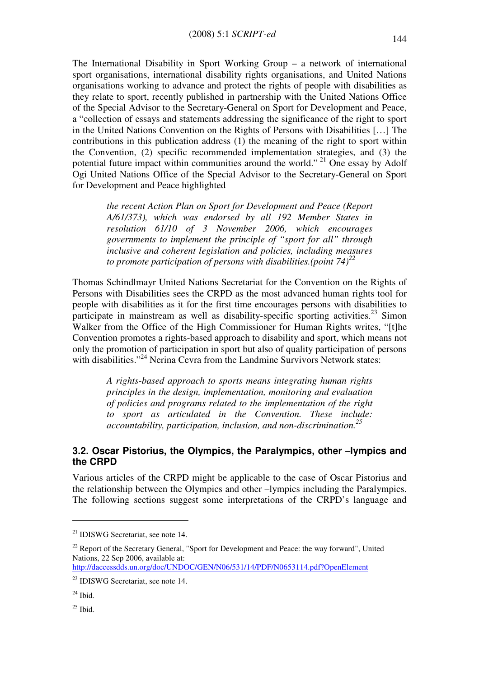The International Disability in Sport Working Group – a network of international sport organisations, international disability rights organisations, and United Nations organisations working to advance and protect the rights of people with disabilities as they relate to sport, recently published in partnership with the United Nations Office of the Special Advisor to the Secretary-General on Sport for Development and Peace, a "collection of essays and statements addressing the significance of the right to sport in the United Nations Convention on the Rights of Persons with Disabilities […] The contributions in this publication address (1) the meaning of the right to sport within the Convention, (2) specific recommended implementation strategies, and (3) the potential future impact within communities around the world."<sup>21</sup> One essay by Adolf Ogi United Nations Office of the Special Advisor to the Secretary-General on Sport for Development and Peace highlighted

the recent Action Plan on Sport for Development and Peace (Report A/61/373), which was endorsed by all 192 Member States in resolution 61/10 of 3 November 2006, which encourages governments to implement the principle of "sport for all" through inclusive and coherent legislation and policies, including measures to promote participation of persons with disabilities.(point 74)<sup>22</sup>

Thomas Schindlmayr United Nations Secretariat for the Convention on the Rights of Persons with Disabilities sees the CRPD as the most advanced human rights tool for people with disabilities as it for the first time encourages persons with disabilities to participate in mainstream as well as disability-specific sporting activities.<sup>23</sup> Simon Walker from the Office of the High Commissioner for Human Rights writes, "[t]he Convention promotes a rights-based approach to disability and sport, which means not only the promotion of participation in sport but also of quality participation of persons with disabilities."<sup>24</sup> Nerina Cevra from the Landmine Survivors Network states:

A rights-based approach to sports means integrating human rights principles in the design, implementation, monitoring and evaluation of policies and programs related to the implementation of the right to sport as articulated in the Convention. These include: accountability, participation, inclusion, and non-discrimination. $^{25}$ 

#### 3.2. Oscar Pistorius, the Olympics, the Paralympics, other –lympics and the CRPD

Various articles of the CRPD might be applicable to the case of Oscar Pistorius and the relationship between the Olympics and other –lympics including the Paralympics. The following sections suggest some interpretations of the CRPD's language and

<sup>21</sup> IDISWG Secretariat, see note 14.

<sup>&</sup>lt;sup>22</sup> Report of the Secretary General, "Sport for Development and Peace: the way forward", United Nations, 22 Sep 2006, available at:

http://daccessdds.un.org/doc/UNDOC/GEN/N06/531/14/PDF/N0653114.pdf?OpenElement

<sup>&</sup>lt;sup>23</sup> IDISWG Secretariat, see note 14.

 $^{24}$  Ibid.

 $25$  Ibid.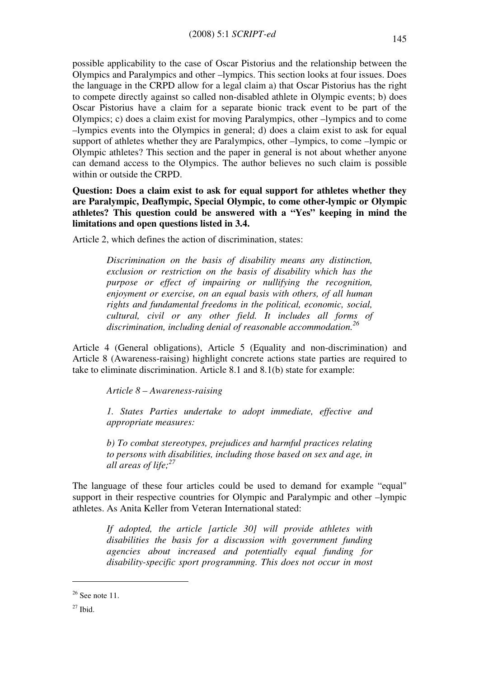possible applicability to the case of Oscar Pistorius and the relationship between the Olympics and Paralympics and other –lympics. This section looks at four issues. Does the language in the CRPD allow for a legal claim a) that Oscar Pistorius has the right to compete directly against so called non-disabled athlete in Olympic events; b) does Oscar Pistorius have a claim for a separate bionic track event to be part of the Olympics; c) does a claim exist for moving Paralympics, other –lympics and to come –lympics events into the Olympics in general; d) does a claim exist to ask for equal support of athletes whether they are Paralympics, other –lympics, to come –lympic or Olympic athletes? This section and the paper in general is not about whether anyone can demand access to the Olympics. The author believes no such claim is possible within or outside the CRPD.

Question: Does a claim exist to ask for equal support for athletes whether they are Paralympic, Deaflympic, Special Olympic, to come other-lympic or Olympic athletes? This question could be answered with a "Yes" keeping in mind the limitations and open questions listed in 3.4.

Article 2, which defines the action of discrimination, states:

Discrimination on the basis of disability means any distinction, exclusion or restriction on the basis of disability which has the purpose or effect of impairing or nullifying the recognition, enjoyment or exercise, on an equal basis with others, of all human rights and fundamental freedoms in the political, economic, social, cultural, civil or any other field. It includes all forms of discrimination, including denial of reasonable accommodation.<sup>26</sup>

Article 4 (General obligations), Article 5 (Equality and non-discrimination) and Article 8 (Awareness-raising) highlight concrete actions state parties are required to take to eliminate discrimination. Article 8.1 and 8.1(b) state for example:

Article 8 – Awareness-raising

1. States Parties undertake to adopt immediate, effective and appropriate measures:

b) To combat stereotypes, prejudices and harmful practices relating to persons with disabilities, including those based on sex and age, in all areas of life: $27$ 

The language of these four articles could be used to demand for example "equal" support in their respective countries for Olympic and Paralympic and other –lympic athletes. As Anita Keller from Veteran International stated:

> If adopted, the article [article 30] will provide athletes with disabilities the basis for a discussion with government funding agencies about increased and potentially equal funding for disability-specific sport programming. This does not occur in most

 $26$  See note 11.

 $27$  Ibid.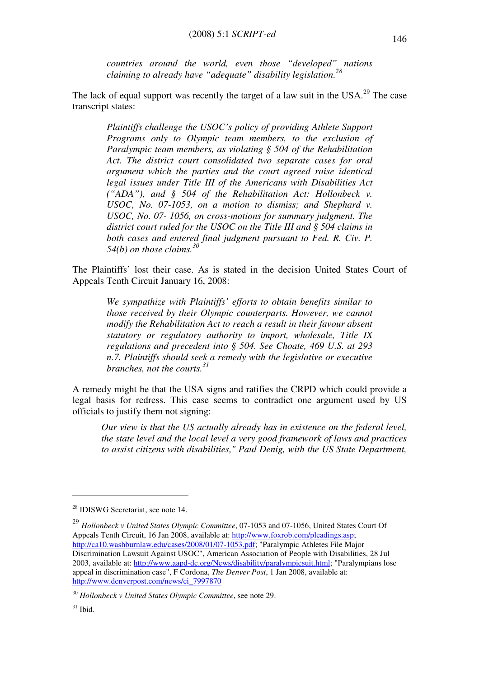countries around the world, even those "developed" nations claiming to already have "adequate" disability legislation. $^{28}$ 

The lack of equal support was recently the target of a law suit in the  $USA.^{29}$  The case transcript states:

Plaintiffs challenge the USOC's policy of providing Athlete Support Programs only to Olympic team members, to the exclusion of Paralympic team members, as violating § 504 of the Rehabilitation Act. The district court consolidated two separate cases for oral argument which the parties and the court agreed raise identical legal issues under Title III of the Americans with Disabilities Act ("ADA"), and § 504 of the Rehabilitation Act: Hollonbeck v. USOC, No. 07-1053, on a motion to dismiss; and Shephard v. USOC, No. 07- 1056, on cross-motions for summary judgment. The district court ruled for the USOC on the Title III and § 504 claims in both cases and entered final judgment pursuant to Fed. R. Civ. P. 54(b) on those claims.<sup>30</sup>

The Plaintiffs' lost their case. As is stated in the decision United States Court of Appeals Tenth Circuit January 16, 2008:

We sympathize with Plaintiffs' efforts to obtain benefits similar to those received by their Olympic counterparts. However, we cannot modify the Rehabilitation Act to reach a result in their favour absent statutory or regulatory authority to import, wholesale, Title IX regulations and precedent into § 504. See Choate, 469 U.S. at 293 n.7. Plaintiffs should seek a remedy with the legislative or executive branches, not the courts.<sup>31</sup>

A remedy might be that the USA signs and ratifies the CRPD which could provide a legal basis for redress. This case seems to contradict one argument used by US officials to justify them not signing:

Our view is that the US actually already has in existence on the federal level, the state level and the local level a very good framework of laws and practices to assist citizens with disabilities," Paul Denig, with the US State Department,

 $^{29}$  Hollonbeck v United States Olympic Committee, 07-1053 and 07-1056, United States Court Of Appeals Tenth Circuit, 16 Jan 2008, available at: http://www.foxrob.com/pleadings.asp; http://ca10.washburnlaw.edu/cases/2008/01/07-1053.pdf; "Paralympic Athletes File Major Discrimination Lawsuit Against USOC", American Association of People with Disabilities, 28 Jul 2003, available at: http://www.aapd-dc.org/News/disability/paralympicsuit.html; "Paralympians lose appeal in discrimination case", F Cordona, The Denver Post, 1 Jan 2008, available at: http://www.denverpost.com/news/ci\_7997870

<sup>28</sup> IDISWG Secretariat, see note 14.

 $30$  Hollonbeck v United States Olympic Committee, see note 29.

 $31$  Ibid.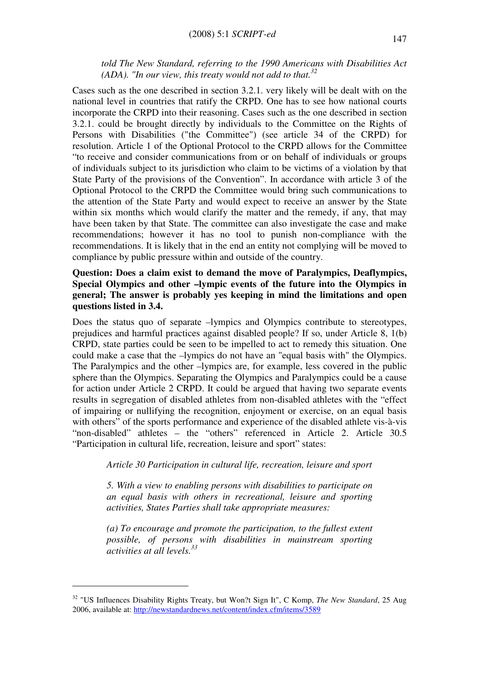told The New Standard, referring to the 1990 Americans with Disabilities Act (ADA). "In our view, this treaty would not add to that.<sup>32</sup>

Cases such as the one described in section 3.2.1. very likely will be dealt with on the national level in countries that ratify the CRPD. One has to see how national courts incorporate the CRPD into their reasoning. Cases such as the one described in section 3.2.1. could be brought directly by individuals to the Committee on the Rights of Persons with Disabilities ("the Committee") (see article 34 of the CRPD) for resolution. Article 1 of the Optional Protocol to the CRPD allows for the Committee "to receive and consider communications from or on behalf of individuals or groups of individuals subject to its jurisdiction who claim to be victims of a violation by that State Party of the provisions of the Convention". In accordance with article 3 of the Optional Protocol to the CRPD the Committee would bring such communications to the attention of the State Party and would expect to receive an answer by the State within six months which would clarify the matter and the remedy, if any, that may have been taken by that State. The committee can also investigate the case and make recommendations; however it has no tool to punish non-compliance with the recommendations. It is likely that in the end an entity not complying will be moved to compliance by public pressure within and outside of the country.

#### Question: Does a claim exist to demand the move of Paralympics, Deaflympics, Special Olympics and other –lympic events of the future into the Olympics in general; The answer is probably yes keeping in mind the limitations and open questions listed in 3.4.

Does the status quo of separate –lympics and Olympics contribute to stereotypes, prejudices and harmful practices against disabled people? If so, under Article 8, 1(b) CRPD, state parties could be seen to be impelled to act to remedy this situation. One could make a case that the –lympics do not have an "equal basis with" the Olympics. The Paralympics and the other –lympics are, for example, less covered in the public sphere than the Olympics. Separating the Olympics and Paralympics could be a cause for action under Article 2 CRPD. It could be argued that having two separate events results in segregation of disabled athletes from non-disabled athletes with the "effect of impairing or nullifying the recognition, enjoyment or exercise, on an equal basis with others" of the sports performance and experience of the disabled athlete vis-à-vis "non-disabled" athletes – the "others" referenced in Article 2. Article 30.5 "Participation in cultural life, recreation, leisure and sport" states:

Article 30 Participation in cultural life, recreation, leisure and sport

5. With a view to enabling persons with disabilities to participate on an equal basis with others in recreational, leisure and sporting activities, States Parties shall take appropriate measures:

(a) To encourage and promote the participation, to the fullest extent possible, of persons with disabilities in mainstream sporting activities at all levels.<sup>33</sup>

 $32$  "US Influences Disability Rights Treaty, but Won?t Sign It", C Komp, The New Standard, 25 Aug 2006, available at: http://newstandardnews.net/content/index.cfm/items/3589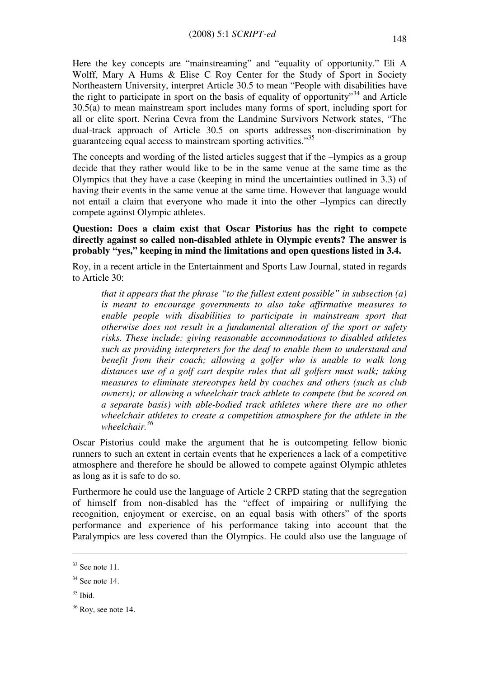Here the key concepts are "mainstreaming" and "equality of opportunity." Eli A Wolff, Mary A Hums & Elise C Roy Center for the Study of Sport in Society Northeastern University, interpret Article 30.5 to mean "People with disabilities have the right to participate in sport on the basis of equality of opportunity"<sup>34</sup> and Article 30.5(a) to mean mainstream sport includes many forms of sport, including sport for all or elite sport. Nerina Cevra from the Landmine Survivors Network states, "The dual-track approach of Article 30.5 on sports addresses non-discrimination by guaranteeing equal access to mainstream sporting activities."<sup>35</sup>

The concepts and wording of the listed articles suggest that if the –lympics as a group decide that they rather would like to be in the same venue at the same time as the Olympics that they have a case (keeping in mind the uncertainties outlined in 3.3) of having their events in the same venue at the same time. However that language would not entail a claim that everyone who made it into the other –lympics can directly compete against Olympic athletes.

#### Question: Does a claim exist that Oscar Pistorius has the right to compete directly against so called non-disabled athlete in Olympic events? The answer is probably "yes," keeping in mind the limitations and open questions listed in 3.4.

Roy, in a recent article in the Entertainment and Sports Law Journal, stated in regards to Article 30:

that it appears that the phrase "to the fullest extent possible" in subsection  $(a)$ is meant to encourage governments to also take affirmative measures to enable people with disabilities to participate in mainstream sport that otherwise does not result in a fundamental alteration of the sport or safety risks. These include: giving reasonable accommodations to disabled athletes such as providing interpreters for the deaf to enable them to understand and benefit from their coach; allowing a golfer who is unable to walk long distances use of a golf cart despite rules that all golfers must walk; taking measures to eliminate stereotypes held by coaches and others (such as club owners); or allowing a wheelchair track athlete to compete (but be scored on a separate basis) with able-bodied track athletes where there are no other wheelchair athletes to create a competition atmosphere for the athlete in the wheelchair.<sup>36</sup>

Oscar Pistorius could make the argument that he is outcompeting fellow bionic runners to such an extent in certain events that he experiences a lack of a competitive atmosphere and therefore he should be allowed to compete against Olympic athletes as long as it is safe to do so.

Furthermore he could use the language of Article 2 CRPD stating that the segregation of himself from non-disabled has the "effect of impairing or nullifying the recognition, enjoyment or exercise, on an equal basis with others" of the sports performance and experience of his performance taking into account that the Paralympics are less covered than the Olympics. He could also use the language of

 $33$  See note 11.

 $34$  See note 14.

 $35$  Ibid.

 $36$  Roy, see note 14.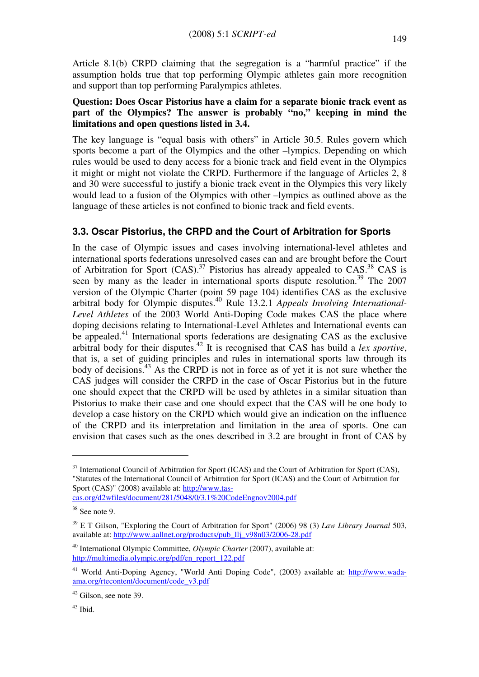Article 8.1(b) CRPD claiming that the segregation is a "harmful practice" if the assumption holds true that top performing Olympic athletes gain more recognition and support than top performing Paralympics athletes.

#### Question: Does Oscar Pistorius have a claim for a separate bionic track event as part of the Olympics? The answer is probably "no," keeping in mind the limitations and open questions listed in 3.4.

The key language is "equal basis with others" in Article 30.5. Rules govern which sports become a part of the Olympics and the other –lympics. Depending on which rules would be used to deny access for a bionic track and field event in the Olympics it might or might not violate the CRPD. Furthermore if the language of Articles 2, 8 and 30 were successful to justify a bionic track event in the Olympics this very likely would lead to a fusion of the Olympics with other –lympics as outlined above as the language of these articles is not confined to bionic track and field events.

# 3.3. Oscar Pistorius, the CRPD and the Court of Arbitration for Sports

In the case of Olympic issues and cases involving international-level athletes and international sports federations unresolved cases can and are brought before the Court of Arbitration for Sport  $(CAS)$ .<sup>37</sup> Pistorius has already appealed to  $CAS$ .<sup>38</sup> CAS is seen by many as the leader in international sports dispute resolution.<sup>39</sup> The 2007 version of the Olympic Charter (point 59 page 104) identifies CAS as the exclusive arbitral body for Olympic disputes.<sup>40</sup> Rule 13.2.1 Appeals Involving International-Level Athletes of the 2003 World Anti-Doping Code makes CAS the place where doping decisions relating to International-Level Athletes and International events can be appealed.<sup>41</sup> International sports federations are designating CAS as the exclusive arbitral body for their disputes.<sup>42</sup> It is recognised that CAS has build a *lex sportive*, that is, a set of guiding principles and rules in international sports law through its body of decisions.<sup>43</sup> As the CRPD is not in force as of yet it is not sure whether the CAS judges will consider the CRPD in the case of Oscar Pistorius but in the future one should expect that the CRPD will be used by athletes in a similar situation than Pistorius to make their case and one should expect that the CAS will be one body to develop a case history on the CRPD which would give an indication on the influence of the CRPD and its interpretation and limitation in the area of sports. One can envision that cases such as the ones described in 3.2 are brought in front of CAS by

<sup>&</sup>lt;sup>37</sup> International Council of Arbitration for Sport (ICAS) and the Court of Arbitration for Sport (CAS), "Statutes of the International Council of Arbitration for Sport (ICAS) and the Court of Arbitration for Sport (CAS)" (2008) available at: http://www.tascas.org/d2wfiles/document/281/5048/0/3.1%20CodeEngnov2004.pdf

 $38$  See note 9.

 $39$  E T Gilson, "Exploring the Court of Arbitration for Sport" (2006) 98 (3) Law Library Journal 503, available at: http://www.aallnet.org/products/pub\_llj\_v98n03/2006-28.pdf

 $40$  International Olympic Committee, *Olympic Charter* (2007), available at: http://multimedia.olympic.org/pdf/en\_report\_122.pdf

<sup>&</sup>lt;sup>41</sup> World Anti-Doping Agency, "World Anti Doping Code", (2003) available at: http://www.wadaama.org/rtecontent/document/code\_v3.pdf

<sup>&</sup>lt;sup>42</sup> Gilson, see note 39.

<sup>43</sup> Ibid.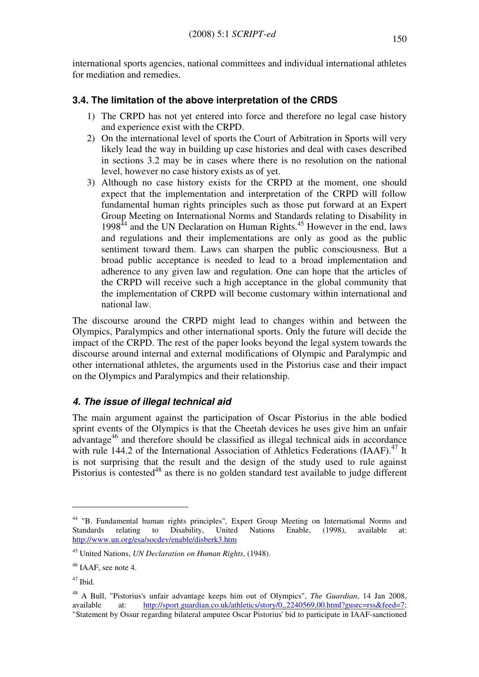international sports agencies, national committees and individual international athletes for mediation and remedies.

# 3.4. The limitation of the above interpretation of the CRDS

- 1) The CRPD has not yet entered into force and therefore no legal case history and experience exist with the CRPD.
- 2) On the international level of sports the Court of Arbitration in Sports will very likely lead the way in building up case histories and deal with cases described in sections 3.2 may be in cases where there is no resolution on the national level, however no case history exists as of yet.
- 3) Although no case history exists for the CRPD at the moment, one should expect that the implementation and interpretation of the CRPD will follow fundamental human rights principles such as those put forward at an Expert Group Meeting on International Norms and Standards relating to Disability in  $1998<sup>44</sup>$  and the UN Declaration on Human Rights.<sup>45</sup> However in the end, laws and regulations and their implementations are only as good as the public sentiment toward them. Laws can sharpen the public consciousness. But a broad public acceptance is needed to lead to a broad implementation and adherence to any given law and regulation. One can hope that the articles of the CRPD will receive such a high acceptance in the global community that the implementation of CRPD will become customary within international and national law.

The discourse around the CRPD might lead to changes within and between the Olympics, Paralympics and other international sports. Only the future will decide the impact of the CRPD. The rest of the paper looks beyond the legal system towards the discourse around internal and external modifications of Olympic and Paralympic and other international athletes, the arguments used in the Pistorius case and their impact on the Olympics and Paralympics and their relationship.

# 4. The issue of illegal technical aid

The main argument against the participation of Oscar Pistorius in the able bodied sprint events of the Olympics is that the Cheetah devices he uses give him an unfair advantage<sup>46</sup> and therefore should be classified as illegal technical aids in accordance with rule 144.2 of the International Association of Athletics Federations (IAAF).<sup>47</sup> It is not surprising that the result and the design of the study used to rule against Pistorius is contested $48$  as there is no golden standard test available to judge different

<sup>44</sup> "B. Fundamental human rights principles", Expert Group Meeting on International Norms and Standards relating to Disability, United Nations Enable, (1998), available at: http://www.un.org/esa/socdev/enable/disberk3.htm

<sup>&</sup>lt;sup>45</sup> United Nations, *UN Declaration on Human Rights*, (1948).

<sup>&</sup>lt;sup>46</sup> IAAF, see note 4.

<sup>47</sup> Ibid.

<sup>&</sup>lt;sup>48</sup> A Bull. "Pistorius's unfair advantage keeps him out of Olympics", *The Guardian*, 14 Jan 2008, available at: http://sport.guardian.co.uk/athletics/story/0,,2240569,00.html?gusrc=rss&feed=7; "Statement by Ossur regarding bilateral amputee Oscar Pistorius' bid to participate in IAAF-sanctioned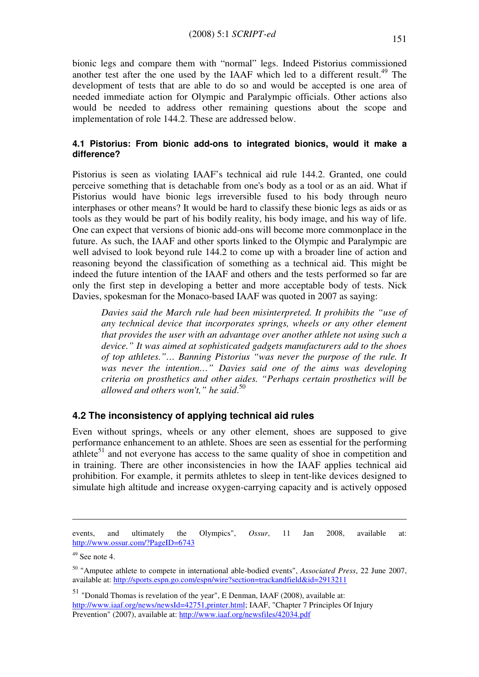bionic legs and compare them with "normal" legs. Indeed Pistorius commissioned another test after the one used by the IAAF which led to a different result.<sup>49</sup> The development of tests that are able to do so and would be accepted is one area of needed immediate action for Olympic and Paralympic officials. Other actions also would be needed to address other remaining questions about the scope and implementation of role 144.2. These are addressed below.

#### 4.1 Pistorius: From bionic add-ons to integrated bionics, would it make a difference?

Pistorius is seen as violating IAAF's technical aid rule 144.2. Granted, one could perceive something that is detachable from one's body as a tool or as an aid. What if Pistorius would have bionic legs irreversible fused to his body through neuro interphases or other means? It would be hard to classify these bionic legs as aids or as tools as they would be part of his bodily reality, his body image, and his way of life. One can expect that versions of bionic add-ons will become more commonplace in the future. As such, the IAAF and other sports linked to the Olympic and Paralympic are well advised to look beyond rule 144.2 to come up with a broader line of action and reasoning beyond the classification of something as a technical aid. This might be indeed the future intention of the IAAF and others and the tests performed so far are only the first step in developing a better and more acceptable body of tests. Nick Davies, spokesman for the Monaco-based IAAF was quoted in 2007 as saying:

Davies said the March rule had been misinterpreted. It prohibits the "use of any technical device that incorporates springs, wheels or any other element that provides the user with an advantage over another athlete not using such a device." It was aimed at sophisticated gadgets manufacturers add to the shoes of top athletes."… Banning Pistorius "was never the purpose of the rule. It was never the intention..." Davies said one of the aims was developing criteria on prosthetics and other aides. "Perhaps certain prosthetics will be allowed and others won't," he said.<sup>50</sup>

#### 4.2 The inconsistency of applying technical aid rules

Even without springs, wheels or any other element, shoes are supposed to give performance enhancement to an athlete. Shoes are seen as essential for the performing athlete<sup>51</sup> and not everyone has access to the same quality of shoe in competition and in training. There are other inconsistencies in how the IAAF applies technical aid prohibition. For example, it permits athletes to sleep in tent-like devices designed to simulate high altitude and increase oxygen-carrying capacity and is actively opposed

events, and ultimately the Olympics", Ossur, 11 Jan 2008, available at: http://www.ossur.com/?PageID=6743

 $49$  See note 4.

<sup>&</sup>lt;sup>50</sup> "Amputee athlete to compete in international able-bodied events", Associated Press, 22 June 2007, available at: http://sports.espn.go.com/espn/wire?section=trackandfield&id=2913211

<sup>51</sup> "Donald Thomas is revelation of the year", E Denman, IAAF (2008), available at: http://www.iaaf.org/news/newsId=42751,printer.html; IAAF, "Chapter 7 Principles Of Injury Prevention" (2007), available at: http://www.iaaf.org/newsfiles/42034.pdf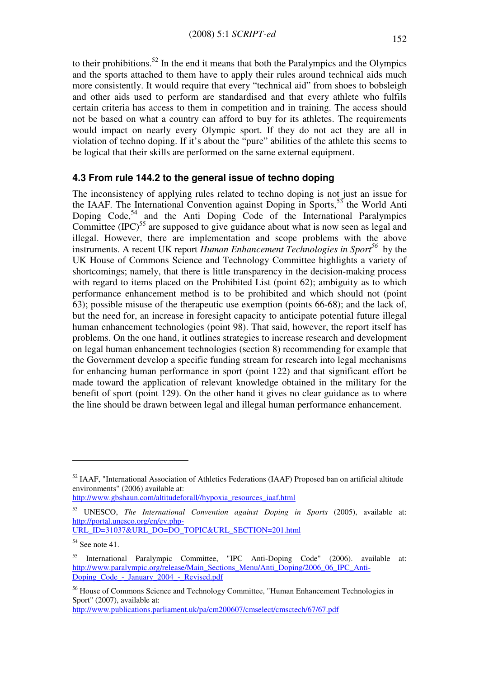to their prohibitions.<sup>52</sup> In the end it means that both the Paralympics and the Olympics and the sports attached to them have to apply their rules around technical aids much more consistently. It would require that every "technical aid" from shoes to bobsleigh and other aids used to perform are standardised and that every athlete who fulfils certain criteria has access to them in competition and in training. The access should not be based on what a country can afford to buy for its athletes. The requirements would impact on nearly every Olympic sport. If they do not act they are all in violation of techno doping. If it's about the "pure" abilities of the athlete this seems to be logical that their skills are performed on the same external equipment.

#### 4.3 From rule 144.2 to the general issue of techno doping

The inconsistency of applying rules related to techno doping is not just an issue for the IAAF. The International Convention against Doping in Sports, $53$  the World Anti Doping Code,  $54$  and the Anti Doping Code of the International Paralympics Committee  $(IPC)^{55}$  are supposed to give guidance about what is now seen as legal and illegal. However, there are implementation and scope problems with the above instruments. A recent UK report Human Enhancement Technologies in Sport<sup>56</sup> by the UK House of Commons Science and Technology Committee highlights a variety of shortcomings; namely, that there is little transparency in the decision-making process with regard to items placed on the Prohibited List (point 62); ambiguity as to which performance enhancement method is to be prohibited and which should not (point 63); possible misuse of the therapeutic use exemption (points 66-68); and the lack of, but the need for, an increase in foresight capacity to anticipate potential future illegal human enhancement technologies (point 98). That said, however, the report itself has problems. On the one hand, it outlines strategies to increase research and development on legal human enhancement technologies (section 8) recommending for example that the Government develop a specific funding stream for research into legal mechanisms for enhancing human performance in sport (point 122) and that significant effort be made toward the application of relevant knowledge obtained in the military for the benefit of sport (point 129). On the other hand it gives no clear guidance as to where the line should be drawn between legal and illegal human performance enhancement.

http://www.gbshaun.com/altitudeforall//hypoxia\_resources\_iaaf.html

 $\overline{a}$ 

http://www.publications.parliament.uk/pa/cm200607/cmselect/cmsctech/67/67.pdf

<sup>&</sup>lt;sup>52</sup> IAAF, "International Association of Athletics Federations (IAAF) Proposed ban on artificial altitude environments" (2006) available at:

<sup>53</sup> UNESCO, The International Convention against Doping in Sports (2005), available at: http://portal.unesco.org/en/ev.php-URL\_ID=31037&URL\_DO=DO\_TOPIC&URL\_SECTION=201.html

 $54$  See note 41.

<sup>55</sup> International Paralympic Committee, "IPC Anti-Doping Code" (2006). available at: http://www.paralympic.org/release/Main\_Sections\_Menu/Anti\_Doping/2006\_06\_IPC\_Anti-Doping Code - January 2004 - Revised.pdf

<sup>&</sup>lt;sup>56</sup> House of Commons Science and Technology Committee, "Human Enhancement Technologies in Sport" (2007), available at: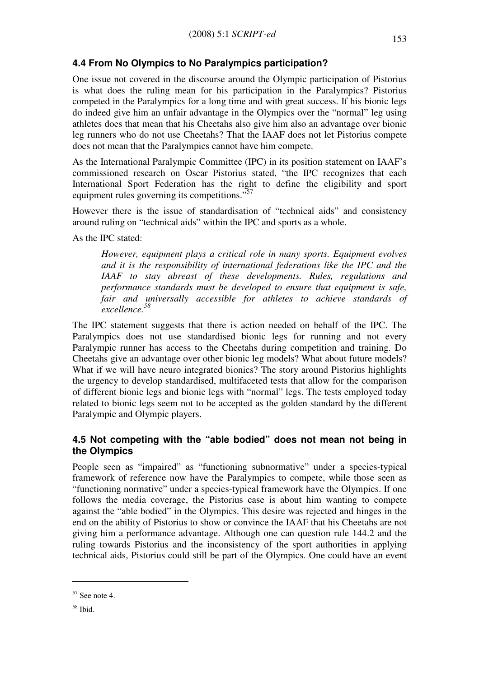# 4.4 From No Olympics to No Paralympics participation?

One issue not covered in the discourse around the Olympic participation of Pistorius is what does the ruling mean for his participation in the Paralympics? Pistorius competed in the Paralympics for a long time and with great success. If his bionic legs do indeed give him an unfair advantage in the Olympics over the "normal" leg using athletes does that mean that his Cheetahs also give him also an advantage over bionic leg runners who do not use Cheetahs? That the IAAF does not let Pistorius compete does not mean that the Paralympics cannot have him compete.

As the International Paralympic Committee (IPC) in its position statement on IAAF's commissioned research on Oscar Pistorius stated, "the IPC recognizes that each International Sport Federation has the right to define the eligibility and sport equipment rules governing its competitions."<sup>57</sup>

However there is the issue of standardisation of "technical aids" and consistency around ruling on "technical aids" within the IPC and sports as a whole.

As the IPC stated:

However, equipment plays a critical role in many sports. Equipment evolves and it is the responsibility of international federations like the IPC and the IAAF to stay abreast of these developments. Rules, regulations and performance standards must be developed to ensure that equipment is safe, fair and universally accessible for athletes to achieve standards of excellence.<sup>58</sup>

The IPC statement suggests that there is action needed on behalf of the IPC. The Paralympics does not use standardised bionic legs for running and not every Paralympic runner has access to the Cheetahs during competition and training. Do Cheetahs give an advantage over other bionic leg models? What about future models? What if we will have neuro integrated bionics? The story around Pistorius highlights the urgency to develop standardised, multifaceted tests that allow for the comparison of different bionic legs and bionic legs with "normal" legs. The tests employed today related to bionic legs seem not to be accepted as the golden standard by the different Paralympic and Olympic players.

#### 4.5 Not competing with the "able bodied" does not mean not being in the Olympics

People seen as "impaired" as "functioning subnormative" under a species-typical framework of reference now have the Paralympics to compete, while those seen as "functioning normative" under a species-typical framework have the Olympics. If one follows the media coverage, the Pistorius case is about him wanting to compete against the "able bodied" in the Olympics. This desire was rejected and hinges in the end on the ability of Pistorius to show or convince the IAAF that his Cheetahs are not giving him a performance advantage. Although one can question rule 144.2 and the ruling towards Pistorius and the inconsistency of the sport authorities in applying technical aids, Pistorius could still be part of the Olympics. One could have an event

 $57$  See note 4.

<sup>58</sup> Ibid.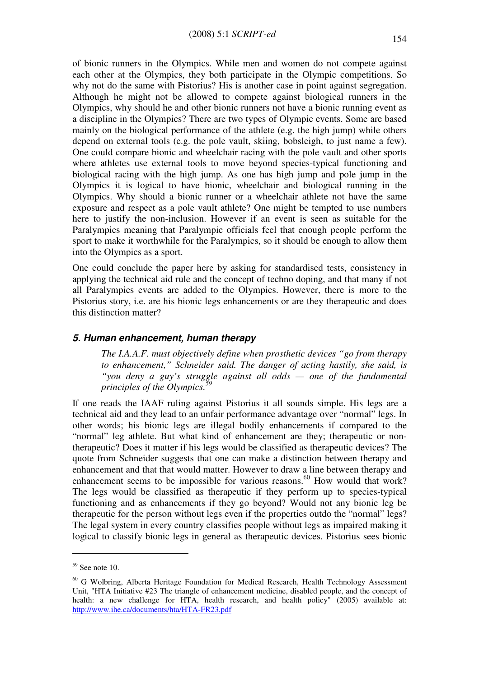of bionic runners in the Olympics. While men and women do not compete against each other at the Olympics, they both participate in the Olympic competitions. So why not do the same with Pistorius? His is another case in point against segregation. Although he might not be allowed to compete against biological runners in the Olympics, why should he and other bionic runners not have a bionic running event as a discipline in the Olympics? There are two types of Olympic events. Some are based mainly on the biological performance of the athlete (e.g. the high jump) while others depend on external tools (e.g. the pole vault, skiing, bobsleigh, to just name a few). One could compare bionic and wheelchair racing with the pole vault and other sports where athletes use external tools to move beyond species-typical functioning and biological racing with the high jump. As one has high jump and pole jump in the Olympics it is logical to have bionic, wheelchair and biological running in the Olympics. Why should a bionic runner or a wheelchair athlete not have the same exposure and respect as a pole vault athlete? One might be tempted to use numbers here to justify the non-inclusion. However if an event is seen as suitable for the Paralympics meaning that Paralympic officials feel that enough people perform the sport to make it worthwhile for the Paralympics, so it should be enough to allow them into the Olympics as a sport.

One could conclude the paper here by asking for standardised tests, consistency in applying the technical aid rule and the concept of techno doping, and that many if not all Paralympics events are added to the Olympics. However, there is more to the Pistorius story, i.e. are his bionic legs enhancements or are they therapeutic and does this distinction matter?

#### 5. Human enhancement, human therapy

The I.A.A.F. must objectively define when prosthetic devices "go from therapy to enhancement," Schneider said. The danger of acting hastily, she said, is "you deny a guy's struggle against all odds — one of the fundamental principles of the Olympics.<sup>5</sup>

If one reads the IAAF ruling against Pistorius it all sounds simple. His legs are a technical aid and they lead to an unfair performance advantage over "normal" legs. In other words; his bionic legs are illegal bodily enhancements if compared to the "normal" leg athlete. But what kind of enhancement are they; therapeutic or nontherapeutic? Does it matter if his legs would be classified as therapeutic devices? The quote from Schneider suggests that one can make a distinction between therapy and enhancement and that that would matter. However to draw a line between therapy and enhancement seems to be impossible for various reasons.<sup>60</sup> How would that work? The legs would be classified as therapeutic if they perform up to species-typical functioning and as enhancements if they go beyond? Would not any bionic leg be therapeutic for the person without legs even if the properties outdo the "normal" legs? The legal system in every country classifies people without legs as impaired making it logical to classify bionic legs in general as therapeutic devices. Pistorius sees bionic

 $59$  See note 10.

<sup>&</sup>lt;sup>60</sup> G Wolbring, Alberta Heritage Foundation for Medical Research, Health Technology Assessment Unit, "HTA Initiative #23 The triangle of enhancement medicine, disabled people, and the concept of health: a new challenge for HTA, health research, and health policy" (2005) available at: http://www.ihe.ca/documents/hta/HTA-FR23.pdf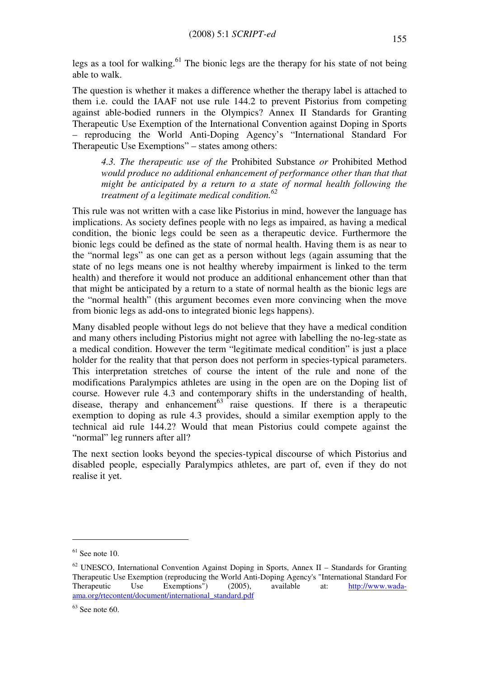legs as a tool for walking.<sup>61</sup> The bionic legs are the therapy for his state of not being able to walk.

The question is whether it makes a difference whether the therapy label is attached to them i.e. could the IAAF not use rule 144.2 to prevent Pistorius from competing against able-bodied runners in the Olympics? Annex II Standards for Granting Therapeutic Use Exemption of the International Convention against Doping in Sports – reproducing the World Anti-Doping Agency's "International Standard For Therapeutic Use Exemptions" – states among others:

4.3. The therapeutic use of the Prohibited Substance or Prohibited Method would produce no additional enhancement of performance other than that that might be anticipated by a return to a state of normal health following the treatment of a legitimate medical condition. $62$ 

This rule was not written with a case like Pistorius in mind, however the language has implications. As society defines people with no legs as impaired, as having a medical condition, the bionic legs could be seen as a therapeutic device. Furthermore the bionic legs could be defined as the state of normal health. Having them is as near to the "normal legs" as one can get as a person without legs (again assuming that the state of no legs means one is not healthy whereby impairment is linked to the term health) and therefore it would not produce an additional enhancement other than that that might be anticipated by a return to a state of normal health as the bionic legs are the "normal health" (this argument becomes even more convincing when the move from bionic legs as add-ons to integrated bionic legs happens).

Many disabled people without legs do not believe that they have a medical condition and many others including Pistorius might not agree with labelling the no-leg-state as a medical condition. However the term "legitimate medical condition" is just a place holder for the reality that that person does not perform in species-typical parameters. This interpretation stretches of course the intent of the rule and none of the modifications Paralympics athletes are using in the open are on the Doping list of course. However rule 4.3 and contemporary shifts in the understanding of health, disease, therapy and enhancement<sup>63</sup> raise questions. If there is a therapeutic exemption to doping as rule 4.3 provides, should a similar exemption apply to the technical aid rule 144.2? Would that mean Pistorius could compete against the "normal" leg runners after all?

The next section looks beyond the species-typical discourse of which Pistorius and disabled people, especially Paralympics athletes, are part of, even if they do not realise it yet.

 $61$  See note 10.

 $62$  UNESCO, International Convention Against Doping in Sports, Annex II – Standards for Granting Therapeutic Use Exemption (reproducing the World Anti-Doping Agency's "International Standard For Therapeutic Use Exemptions") (2005), available at: http://www.wadaama.org/rtecontent/document/international\_standard.pdf

 $63$  See note 60.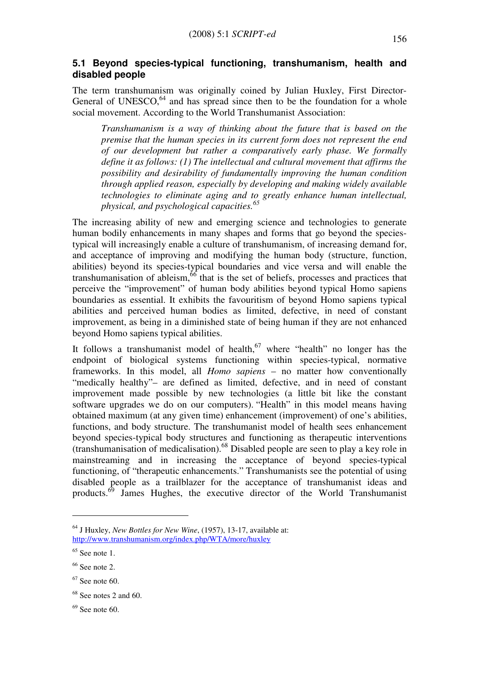#### 5.1 Beyond species-typical functioning, transhumanism, health and disabled people

The term transhumanism was originally coined by Julian Huxley, First Director-General of UNESCO, $64$  and has spread since then to be the foundation for a whole social movement. According to the World Transhumanist Association:

Transhumanism is a way of thinking about the future that is based on the premise that the human species in its current form does not represent the end of our development but rather a comparatively early phase. We formally define it as follows: (1) The intellectual and cultural movement that affirms the possibility and desirability of fundamentally improving the human condition through applied reason, especially by developing and making widely available technologies to eliminate aging and to greatly enhance human intellectual, physical, and psychological capacities. $65$ 

The increasing ability of new and emerging science and technologies to generate human bodily enhancements in many shapes and forms that go beyond the speciestypical will increasingly enable a culture of transhumanism, of increasing demand for, and acceptance of improving and modifying the human body (structure, function, abilities) beyond its species-typical boundaries and vice versa and will enable the transhumanisation of ableism, $66$  that is the set of beliefs, processes and practices that perceive the "improvement" of human body abilities beyond typical Homo sapiens boundaries as essential. It exhibits the favouritism of beyond Homo sapiens typical abilities and perceived human bodies as limited, defective, in need of constant improvement, as being in a diminished state of being human if they are not enhanced beyond Homo sapiens typical abilities.

It follows a transhumanist model of health,  $67$  where "health" no longer has the endpoint of biological systems functioning within species-typical, normative frameworks. In this model, all Homo sapiens – no matter how conventionally "medically healthy"– are defined as limited, defective, and in need of constant improvement made possible by new technologies (a little bit like the constant software upgrades we do on our computers). "Health" in this model means having obtained maximum (at any given time) enhancement (improvement) of one's abilities, functions, and body structure. The transhumanist model of health sees enhancement beyond species-typical body structures and functioning as therapeutic interventions  $(transhumanisation)$ .<sup>68</sup> Disabled people are seen to play a key role in mainstreaming and in increasing the acceptance of beyond species-typical functioning, of "therapeutic enhancements." Transhumanists see the potential of using disabled people as a trailblazer for the acceptance of transhumanist ideas and products. $69$  James Hughes, the executive director of the World Transhumanist

 $64$  J Huxley, New Bottles for New Wine, (1957), 13-17, available at: http://www.transhumanism.org/index.php/WTA/more/huxley

 $65$  See note 1.

 $66$  See note 2.

 $67$  See note 60.

 $68$  See notes 2 and 60.

 $69$  See note 60.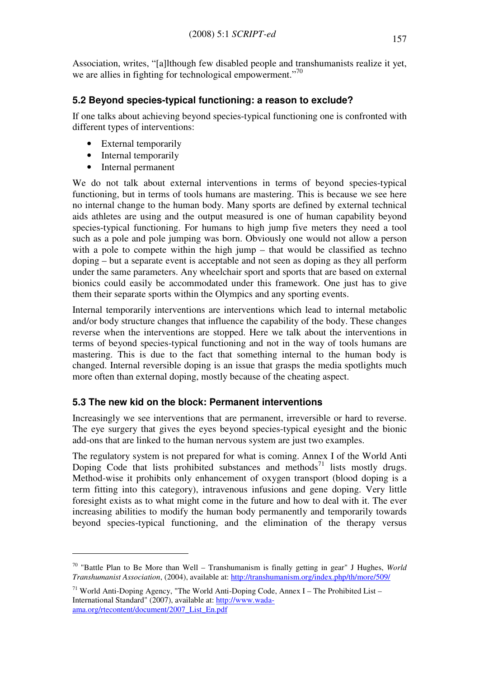Association, writes, "[a]lthough few disabled people and transhumanists realize it yet, we are allies in fighting for technological empowerment."<sup>70</sup>

# 5.2 Beyond species-typical functioning: a reason to exclude?

If one talks about achieving beyond species-typical functioning one is confronted with different types of interventions:

- External temporarily
- Internal temporarily
- Internal permanent

 $\overline{a}$ 

We do not talk about external interventions in terms of beyond species-typical functioning, but in terms of tools humans are mastering. This is because we see here no internal change to the human body. Many sports are defined by external technical aids athletes are using and the output measured is one of human capability beyond species-typical functioning. For humans to high jump five meters they need a tool such as a pole and pole jumping was born. Obviously one would not allow a person with a pole to compete within the high jump – that would be classified as techno doping – but a separate event is acceptable and not seen as doping as they all perform under the same parameters. Any wheelchair sport and sports that are based on external bionics could easily be accommodated under this framework. One just has to give them their separate sports within the Olympics and any sporting events.

Internal temporarily interventions are interventions which lead to internal metabolic and/or body structure changes that influence the capability of the body. These changes reverse when the interventions are stopped. Here we talk about the interventions in terms of beyond species-typical functioning and not in the way of tools humans are mastering. This is due to the fact that something internal to the human body is changed. Internal reversible doping is an issue that grasps the media spotlights much more often than external doping, mostly because of the cheating aspect.

# 5.3 The new kid on the block: Permanent interventions

Increasingly we see interventions that are permanent, irreversible or hard to reverse. The eye surgery that gives the eyes beyond species-typical eyesight and the bionic add-ons that are linked to the human nervous system are just two examples.

The regulatory system is not prepared for what is coming. Annex I of the World Anti Doping Code that lists prohibited substances and methods<sup>71</sup> lists mostly drugs. Method-wise it prohibits only enhancement of oxygen transport (blood doping is a term fitting into this category), intravenous infusions and gene doping. Very little foresight exists as to what might come in the future and how to deal with it. The ever increasing abilities to modify the human body permanently and temporarily towards beyond species-typical functioning, and the elimination of the therapy versus

 $70$  "Battle Plan to Be More than Well – Transhumanism is finally getting in gear" J Hughes, World Transhumanist Association, (2004), available at: http://transhumanism.org/index.php/th/more/509/

<sup>&</sup>lt;sup>71</sup> World Anti-Doping Agency, "The World Anti-Doping Code, Annex I – The Prohibited List – International Standard" (2007), available at: http://www.wadaama.org/rtecontent/document/2007\_List\_En.pdf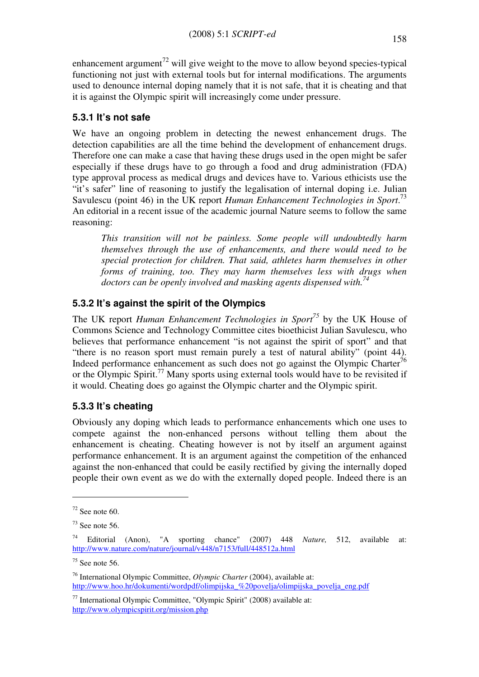enhancement argument<sup>72</sup> will give weight to the move to allow beyond species-typical functioning not just with external tools but for internal modifications. The arguments used to denounce internal doping namely that it is not safe, that it is cheating and that it is against the Olympic spirit will increasingly come under pressure.

# 5.3.1 It's not safe

We have an ongoing problem in detecting the newest enhancement drugs. The detection capabilities are all the time behind the development of enhancement drugs. Therefore one can make a case that having these drugs used in the open might be safer especially if these drugs have to go through a food and drug administration (FDA) type approval process as medical drugs and devices have to. Various ethicists use the "it's safer" line of reasoning to justify the legalisation of internal doping i.e. Julian Savulescu (point 46) in the UK report Human Enhancement Technologies in Sport.<sup>73</sup> An editorial in a recent issue of the academic journal Nature seems to follow the same reasoning:

This transition will not be painless. Some people will undoubtedly harm themselves through the use of enhancements, and there would need to be special protection for children. That said, athletes harm themselves in other forms of training, too. They may harm themselves less with drugs when doctors can be openly involved and masking agents dispensed with.<sup>74</sup>

# 5.3.2 It's against the spirit of the Olympics

The UK report Human Enhancement Technologies in Sport<sup>75</sup> by the UK House of Commons Science and Technology Committee cites bioethicist Julian Savulescu, who believes that performance enhancement "is not against the spirit of sport" and that "there is no reason sport must remain purely a test of natural ability" (point 44). Indeed performance enhancement as such does not go against the Olympic Charter<sup>76</sup> or the Olympic Spirit.<sup>77</sup> Many sports using external tools would have to be revisited if it would. Cheating does go against the Olympic charter and the Olympic spirit.

# 5.3.3 It's cheating

Obviously any doping which leads to performance enhancements which one uses to compete against the non-enhanced persons without telling them about the enhancement is cheating. Cheating however is not by itself an argument against performance enhancement. It is an argument against the competition of the enhanced against the non-enhanced that could be easily rectified by giving the internally doped people their own event as we do with the externally doped people. Indeed there is an

 $72$  See note 60.

 $73$  See note 56.

<sup>&</sup>lt;sup>74</sup> Editorial (Anon), "A sporting chance" (2007) 448 *Nature*, 512, available at: http://www.nature.com/nature/journal/v448/n7153/full/448512a.html

 $75$  See note 56.

<sup>&</sup>lt;sup>76</sup> International Olympic Committee, *Olympic Charter* (2004), available at: http://www.hoo.hr/dokumenti/wordpdf/olimpijska %20povelja/olimpijska povelja eng.pdf

 $77$  International Olympic Committee, "Olympic Spirit" (2008) available at: http://www.olympicspirit.org/mission.php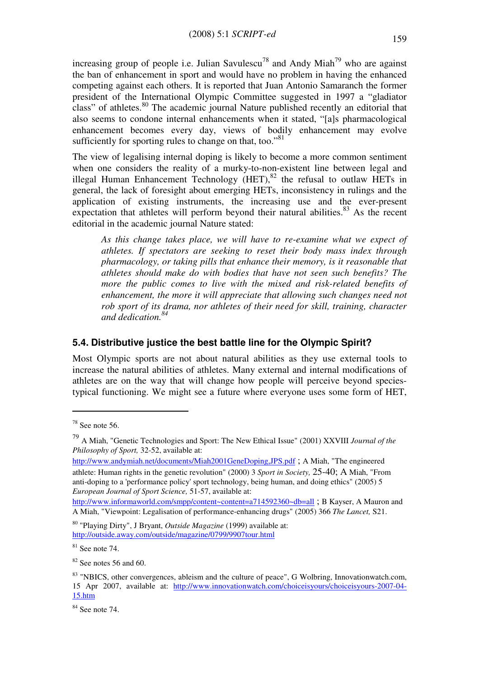increasing group of people i.e. Julian Savulescu<sup>78</sup> and Andy Miah<sup>79</sup> who are against the ban of enhancement in sport and would have no problem in having the enhanced competing against each others. It is reported that Juan Antonio Samaranch the former president of the International Olympic Committee suggested in 1997 a "gladiator class" of athletes.<sup>80</sup> The academic journal Nature published recently an editorial that also seems to condone internal enhancements when it stated, "[a]s pharmacological enhancement becomes every day, views of bodily enhancement may evolve sufficiently for sporting rules to change on that, too."<sup>81</sup>

The view of legalising internal doping is likely to become a more common sentiment when one considers the reality of a murky-to-non-existent line between legal and illegal Human Enhancement Technology  $(HET)$ ,  $^{82}$  the refusal to outlaw HETs in general, the lack of foresight about emerging HETs, inconsistency in rulings and the application of existing instruments, the increasing use and the ever-present expectation that athletes will perform beyond their natural abilities. $83$  As the recent editorial in the academic journal Nature stated:

As this change takes place, we will have to re-examine what we expect of athletes. If spectators are seeking to reset their body mass index through pharmacology, or taking pills that enhance their memory, is it reasonable that athletes should make do with bodies that have not seen such benefits? The more the public comes to live with the mixed and risk-related benefits of enhancement, the more it will appreciate that allowing such changes need not rob sport of its drama, nor athletes of their need for skill, training, character and dedication.<sup>84</sup>

#### 5.4. Distributive justice the best battle line for the Olympic Spirit?

Most Olympic sports are not about natural abilities as they use external tools to increase the natural abilities of athletes. Many external and internal modifications of athletes are on the way that will change how people will perceive beyond speciestypical functioning. We might see a future where everyone uses some form of HET,

 $78$  See note 56.

 $^{79}$  A Miah, "Genetic Technologies and Sport: The New Ethical Issue" (2001) XXVIII Journal of the Philosophy of Sport, 32-52, available at:

http://www.andymiah.net/documents/Miah2001GeneDoping,JPS.pdf ; A Miah, "The engineered athlete: Human rights in the genetic revolution" (2000) 3 Sport in Society, 25-40; A Miah, "From anti-doping to a 'performance policy' sport technology, being human, and doing ethics" (2005) 5 European Journal of Sport Science, 51-57, available at:

http://www.informaworld.com/smpp/content~content=a714592360~db=all; B Kayser, A Mauron and A Miah, "Viewpoint: Legalisation of performance-enhancing drugs" (2005) 366 The Lancet, S21.

 $80$  "Playing Dirty", J Bryant, *Outside Magazine* (1999) available at: http://outside.away.com/outside/magazine/0799/9907tour.html

 $81$  See note 74.

 $82$  See notes 56 and 60.

<sup>&</sup>lt;sup>83</sup> "NBICS, other convergences, ableism and the culture of peace", G Wolbring, Innovationwatch.com, 15 Apr 2007, available at: http://www.innovationwatch.com/choiceisyours/choiceisyours-2007-04- 15.htm

<sup>84</sup> See note 74.